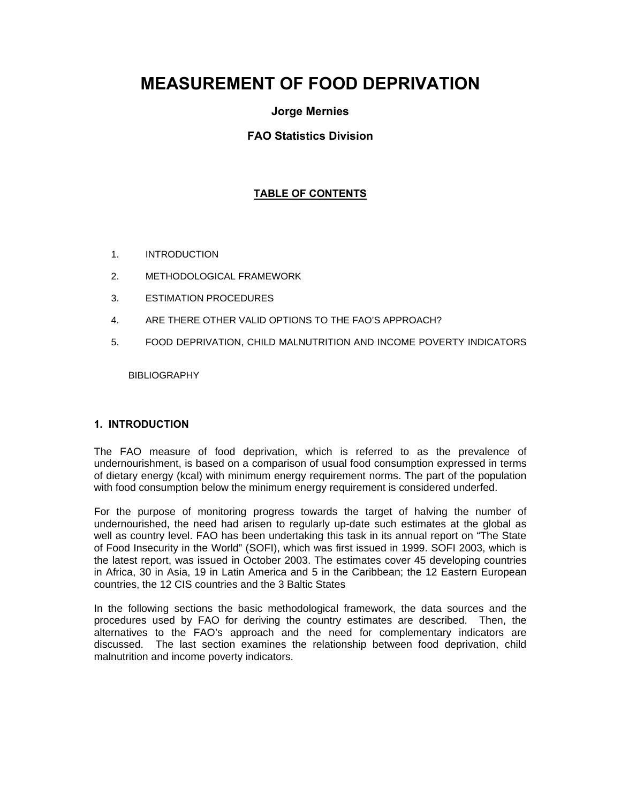# **MEASUREMENT OF FOOD DEPRIVATION**

# **Jorge Mernies**

# **FAO Statistics Division**

# **TABLE OF CONTENTS**

- 1. INTRODUCTION
- 2. METHODOLOGICAL FRAMEWORK
- 3. ESTIMATION PROCEDURES
- 4. ARE THERE OTHER VALID OPTIONS TO THE FAO'S APPROACH?
- 5. FOOD DEPRIVATION, CHILD MALNUTRITION AND INCOME POVERTY INDICATORS

**BIBLIOGRAPHY** 

# **1. INTRODUCTION**

The FAO measure of food deprivation, which is referred to as the prevalence of undernourishment, is based on a comparison of usual food consumption expressed in terms of dietary energy (kcal) with minimum energy requirement norms. The part of the population with food consumption below the minimum energy requirement is considered underfed.

For the purpose of monitoring progress towards the target of halving the number of undernourished, the need had arisen to regularly up-date such estimates at the global as well as country level. FAO has been undertaking this task in its annual report on "The State of Food Insecurity in the World" (SOFI), which was first issued in 1999. SOFI 2003, which is the latest report, was issued in October 2003. The estimates cover 45 developing countries in Africa, 30 in Asia, 19 in Latin America and 5 in the Caribbean; the 12 Eastern European countries, the 12 CIS countries and the 3 Baltic States

In the following sections the basic methodological framework, the data sources and the procedures used by FAO for deriving the country estimates are described. Then, the alternatives to the FAO's approach and the need for complementary indicators are discussed. The last section examines the relationship between food deprivation, child malnutrition and income poverty indicators.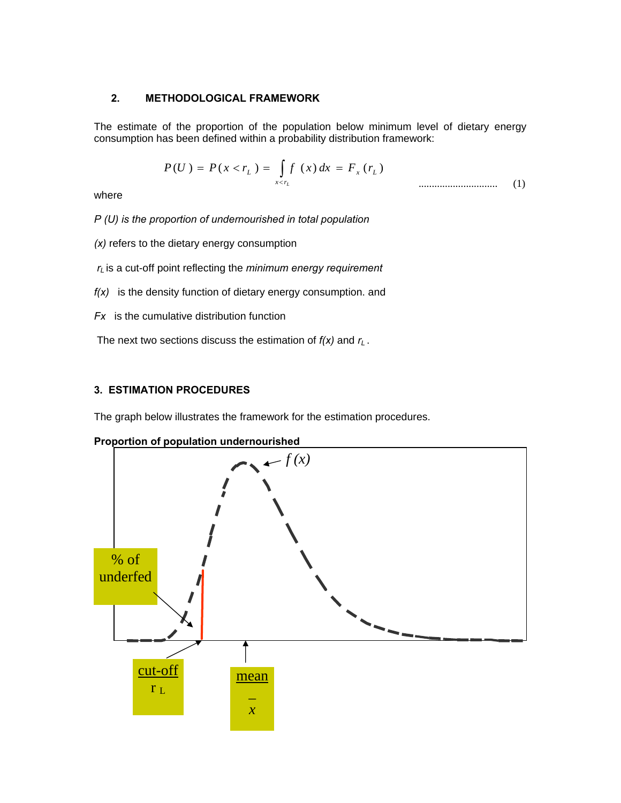# **2. METHODOLOGICAL FRAMEWORK**

The estimate of the proportion of the population below minimum level of dietary energy consumption has been defined within a probability distribution framework:

$$
P(U) = P(x < r_L) = \int_{x < r_L} f(x) dx = F_x(r_L)
$$
 (1)

where

*P (U) is the proportion of undernourished in total population* 

- *(x)* refers to the dietary energy consumption
- *rL* is a cut-off point reflecting the *minimum energy requirement*
- *f(x)* is the density function of dietary energy consumption. and
- *Fx* is the cumulative distribution function

The next two sections discuss the estimation of  $f(x)$  and  $r<sub>L</sub>$ .

# **3. ESTIMATION PROCEDURES**

The graph below illustrates the framework for the estimation procedures.



**Proportion of population undernourished**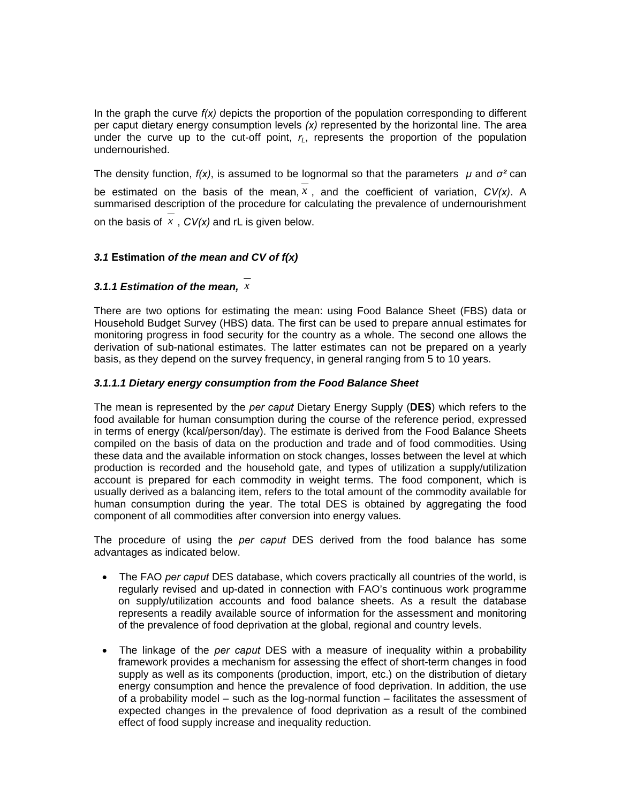In the graph the curve *f(x)* depicts the proportion of the population corresponding to different per caput dietary energy consumption levels *(x)* represented by the horizontal line. The area under the curve up to the cut-off point,  $r<sub>L</sub>$ , represents the proportion of the population undernourished.

The density function,  $f(x)$ , is assumed to be lognormal so that the parameters  $\mu$  and  $\sigma^2$  can be estimated on the basis of the mean,  $x$ , and the coefficient of variation,  $CV(x)$ . A summarised description of the procedure for calculating the prevalence of undernourishment

on the basis of *x* , *CV(x)* and rL is given below.

# *3.1* **Estimation** *of the mean and CV of f(x)*

# *3.1.1 Estimation of the mean, x*

There are two options for estimating the mean: using Food Balance Sheet (FBS) data or Household Budget Survey (HBS) data. The first can be used to prepare annual estimates for monitoring progress in food security for the country as a whole. The second one allows the derivation of sub-national estimates. The latter estimates can not be prepared on a yearly basis, as they depend on the survey frequency, in general ranging from 5 to 10 years.

### *3.1.1.1 Dietary energy consumption from the Food Balance Sheet*

The mean is represented by the *per caput* Dietary Energy Supply (**DES**) which refers to the food available for human consumption during the course of the reference period, expressed in terms of energy (kcal/person/day). The estimate is derived from the Food Balance Sheets compiled on the basis of data on the production and trade and of food commodities. Using these data and the available information on stock changes, losses between the level at which production is recorded and the household gate, and types of utilization a supply/utilization account is prepared for each commodity in weight terms. The food component, which is usually derived as a balancing item, refers to the total amount of the commodity available for human consumption during the year. The total DES is obtained by aggregating the food component of all commodities after conversion into energy values.

The procedure of using the *per caput* DES derived from the food balance has some advantages as indicated below.

- The FAO *per caput* DES database, which covers practically all countries of the world, is regularly revised and up-dated in connection with FAO's continuous work programme on supply/utilization accounts and food balance sheets. As a result the database represents a readily available source of information for the assessment and monitoring of the prevalence of food deprivation at the global, regional and country levels.
- The linkage of the *per caput* DES with a measure of inequality within a probability framework provides a mechanism for assessing the effect of short-term changes in food supply as well as its components (production, import, etc.) on the distribution of dietary energy consumption and hence the prevalence of food deprivation. In addition, the use of a probability model – such as the log-normal function – facilitates the assessment of expected changes in the prevalence of food deprivation as a result of the combined effect of food supply increase and inequality reduction.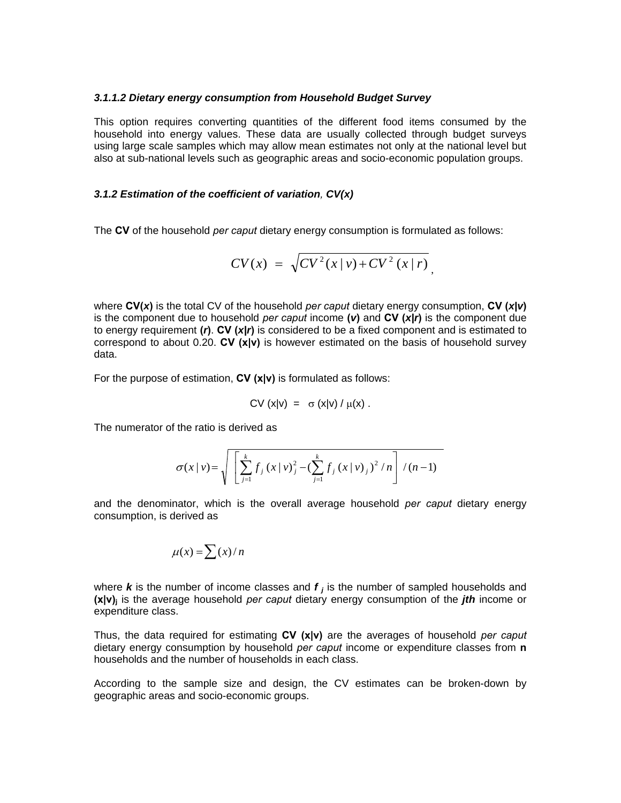#### *3.1.1.2 Dietary energy consumption from Household Budget Survey*

This option requires converting quantities of the different food items consumed by the household into energy values. These data are usually collected through budget surveys using large scale samples which may allow mean estimates not only at the national level but also at sub-national levels such as geographic areas and socio-economic population groups.

#### *3.1.2 Estimation of the coefficient of variation, CV(x)*

The **CV** of the household *per caput* dietary energy consumption is formulated as follows:

$$
CV(x) = \sqrt{CV^{2}(x|v) + CV^{2}(x|r)},
$$

where **CV(***x***)** is the total CV of the household *per caput* dietary energy consumption, **CV (***x|v***)** is the component due to household *per caput* income **(***v***)** and **CV (***x|r***)** is the component due to energy requirement **(***r***)**. **CV (***x|r***)** is considered to be a fixed component and is estimated to correspond to about 0.20. **CV (x|v)** is however estimated on the basis of household survey data.

For the purpose of estimation, **CV (x|v)** is formulated as follows:

$$
CV(x|v) = \sigma(x|v) / \mu(x).
$$

The numerator of the ratio is derived as

$$
\sigma(x | v) = \sqrt{\left[ \sum_{j=1}^{k} f_j(x | v)_j^2 - (\sum_{j=1}^{k} f_j(x | v)_j)^2 / n \right] / (n-1)}
$$

and the denominator, which is the overall average household *per caput* dietary energy consumption, is derived as

$$
\mu(x) = \sum (x)/n
$$

where *k* is the number of income classes and *f j* is the number of sampled households and **(x|v)j** is the average household *per caput* dietary energy consumption of the *jth* income or expenditure class.

Thus, the data required for estimating **CV (x|v)** are the averages of household *per caput* dietary energy consumption by household *per caput* income or expenditure classes from **n** households and the number of households in each class.

According to the sample size and design, the CV estimates can be broken-down by geographic areas and socio-economic groups.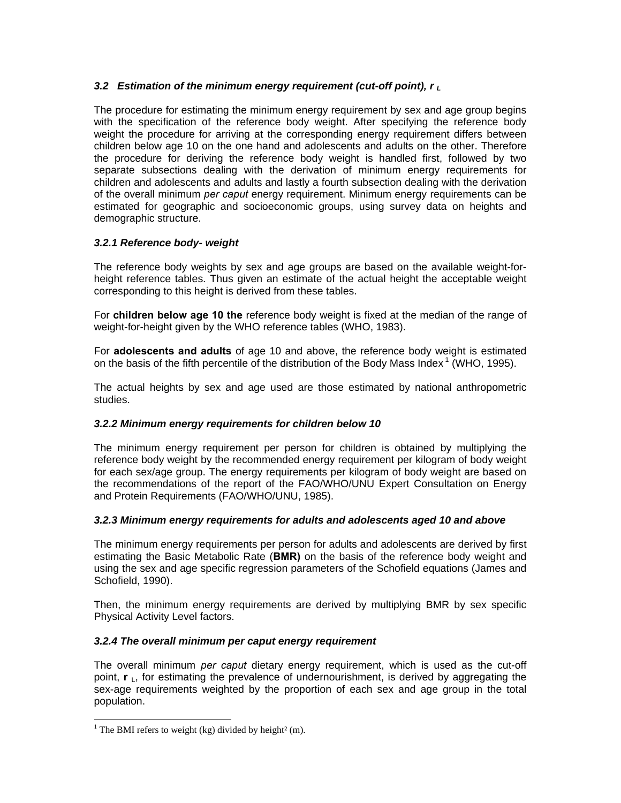# *3.2 Estimation of the minimum energy requirement (cut-off point), r L*

The procedure for estimating the minimum energy requirement by sex and age group begins with the specification of the reference body weight. After specifying the reference body weight the procedure for arriving at the corresponding energy requirement differs between children below age 10 on the one hand and adolescents and adults on the other. Therefore the procedure for deriving the reference body weight is handled first, followed by two separate subsections dealing with the derivation of minimum energy requirements for children and adolescents and adults and lastly a fourth subsection dealing with the derivation of the overall minimum *per caput* energy requirement. Minimum energy requirements can be estimated for geographic and socioeconomic groups, using survey data on heights and demographic structure.

# *3.2.1 Reference body- weight*

The reference body weights by sex and age groups are based on the available weight-forheight reference tables. Thus given an estimate of the actual height the acceptable weight corresponding to this height is derived from these tables.

For **children below age 10 the** reference body weight is fixed at the median of the range of weight-for-height given by the WHO reference tables (WHO, 1983).

For **adolescents and adults** of age 10 and above, the reference body weight is estimated on the basis of the fifth percentile of the distribution of the Body Mass Index<sup>1</sup> (WHO, 1995).

The actual heights by sex and age used are those estimated by national anthropometric studies.

# *3.2.2 Minimum energy requirements for children below 10*

The minimum energy requirement per person for children is obtained by multiplying the reference body weight by the recommended energy requirement per kilogram of body weight for each sex/age group. The energy requirements per kilogram of body weight are based on the recommendations of the report of the FAO/WHO/UNU Expert Consultation on Energy and Protein Requirements (FAO/WHO/UNU, 1985).

# *3.2.3 Minimum energy requirements for adults and adolescents aged 10 and above*

The minimum energy requirements per person for adults and adolescents are derived by first estimating the Basic Metabolic Rate (**BMR)** on the basis of the reference body weight and using the sex and age specific regression parameters of the Schofield equations (James and Schofield, 1990).

Then, the minimum energy requirements are derived by multiplying BMR by sex specific Physical Activity Level factors.

# *3.2.4 The overall minimum per caput energy requirement*

The overall minimum *per caput* dietary energy requirement, which is used as the cut-off point, **r**<sub>1</sub>, for estimating the prevalence of undernourishment, is derived by aggregating the sex-age requirements weighted by the proportion of each sex and age group in the total population.

l

<sup>&</sup>lt;sup>1</sup> The BMI refers to weight (kg) divided by height<sup>2</sup> (m).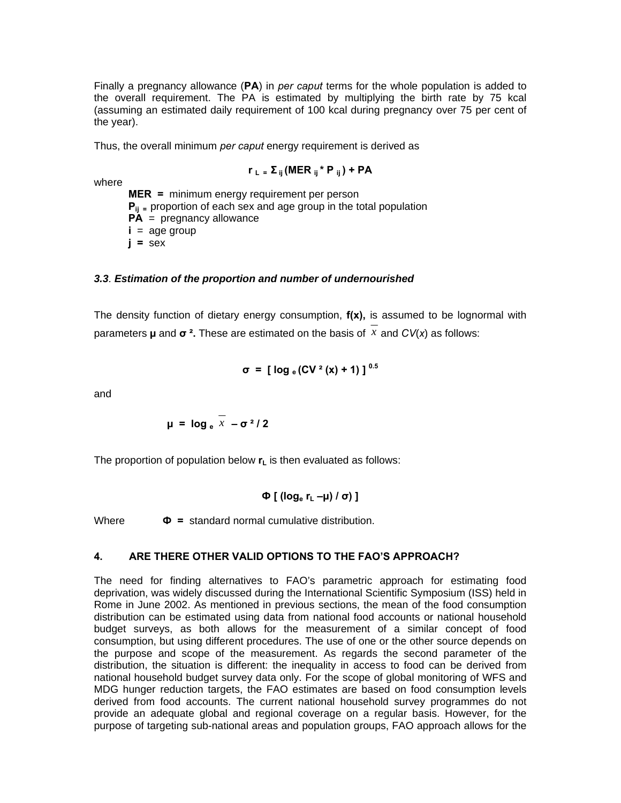Finally a pregnancy allowance (**PA**) in *per caput* terms for the whole population is added to the overall requirement. The PA is estimated by multiplying the birth rate by 75 kcal (assuming an estimated daily requirement of 100 kcal during pregnancy over 75 per cent of the year).

Thus, the overall minimum *per caput* energy requirement is derived as

$$
r_L = \Sigma_{ij}
$$
 (MER  $_{ij} * P_{ij}$ ) + PA

where

 **MER =** minimum energy requirement per person **P<sub>ij</sub>** = proportion of each sex and age group in the total population **PA** = pregnancy allowance  $i = a$ ge group  $i =$ **sex** 

# *3.3. Estimation of the proportion and number of undernourished*

The density function of dietary energy consumption, **f(x),** is assumed to be lognormal with parameters **µ** and  $\sigma^2$ . These are estimated on the basis of x and  $CV(x)$  as follows:

$$
\sigma = [\log_e(CV^2(x) + 1)]^{0.5}
$$

and

**u** =  $\frac{1}{x} - \frac{1}{x^2}$ 

The proportion of population below  $\mathbf{r}_L$  is then evaluated as follows:

$$
\Phi\left[\right. \left(\log_{e} r_{L} - \mu\right) / \sigma\right) \left.\right]
$$

Where  $\Phi$  = standard normal cumulative distribution.

# **4. ARE THERE OTHER VALID OPTIONS TO THE FAO'S APPROACH?**

The need for finding alternatives to FAO's parametric approach for estimating food deprivation, was widely discussed during the International Scientific Symposium (ISS) held in Rome in June 2002. As mentioned in previous sections, the mean of the food consumption distribution can be estimated using data from national food accounts or national household budget surveys, as both allows for the measurement of a similar concept of food consumption, but using different procedures. The use of one or the other source depends on the purpose and scope of the measurement. As regards the second parameter of the distribution, the situation is different: the inequality in access to food can be derived from national household budget survey data only. For the scope of global monitoring of WFS and MDG hunger reduction targets, the FAO estimates are based on food consumption levels derived from food accounts. The current national household survey programmes do not provide an adequate global and regional coverage on a regular basis. However, for the purpose of targeting sub-national areas and population groups, FAO approach allows for the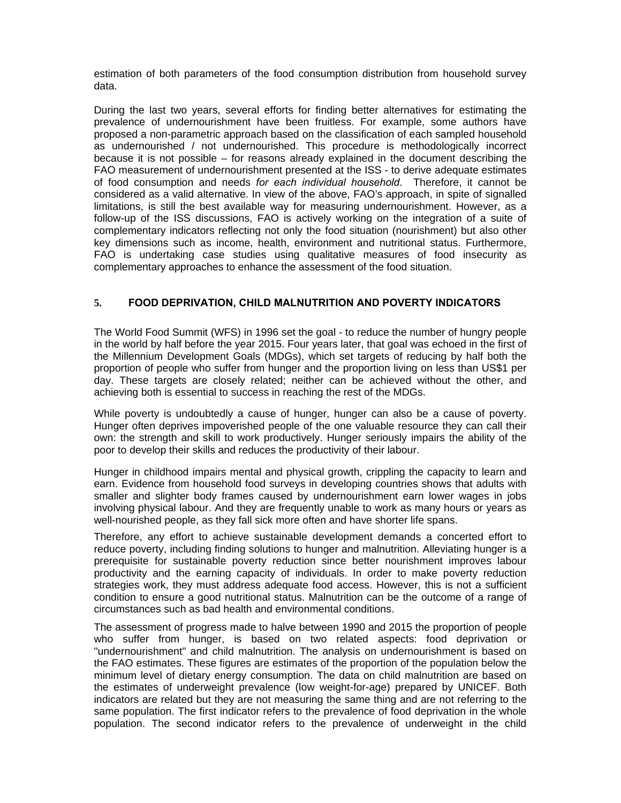estimation of both parameters of the food consumption distribution from household survey data.

During the last two years, several efforts for finding better alternatives for estimating the prevalence of undernourishment have been fruitless. For example, some authors have proposed a non-parametric approach based on the classification of each sampled household as undernourished / not undernourished. This procedure is methodologically incorrect because it is not possible – for reasons already explained in the document describing the FAO measurement of undernourishment presented at the ISS - to derive adequate estimates of food consumption and needs *for each individual household*. Therefore, it cannot be considered as a valid alternative. In view of the above, FAO's approach, in spite of signalled limitations, is still the best available way for measuring undernourishment. However, as a follow-up of the ISS discussions, FAO is actively working on the integration of a suite of complementary indicators reflecting not only the food situation (nourishment) but also other key dimensions such as income, health, environment and nutritional status. Furthermore, FAO is undertaking case studies using qualitative measures of food insecurity as complementary approaches to enhance the assessment of the food situation.

# **5. FOOD DEPRIVATION, CHILD MALNUTRITION AND POVERTY INDICATORS**

The World Food Summit (WFS) in 1996 set the goal - to reduce the number of hungry people in the world by half before the year 2015. Four years later, that goal was echoed in the first of the Millennium Development Goals (MDGs), which set targets of reducing by half both the proportion of people who suffer from hunger and the proportion living on less than US\$1 per day. These targets are closely related; neither can be achieved without the other, and achieving both is essential to success in reaching the rest of the MDGs.

While poverty is undoubtedly a cause of hunger, hunger can also be a cause of poverty. Hunger often deprives impoverished people of the one valuable resource they can call their own: the strength and skill to work productively. Hunger seriously impairs the ability of the poor to develop their skills and reduces the productivity of their labour.

Hunger in childhood impairs mental and physical growth, crippling the capacity to learn and earn. Evidence from household food surveys in developing countries shows that adults with smaller and slighter body frames caused by undernourishment earn lower wages in jobs involving physical labour. And they are frequently unable to work as many hours or years as well-nourished people, as they fall sick more often and have shorter life spans.

Therefore, any effort to achieve sustainable development demands a concerted effort to reduce poverty, including finding solutions to hunger and malnutrition. Alleviating hunger is a prerequisite for sustainable poverty reduction since better nourishment improves labour productivity and the earning capacity of individuals. In order to make poverty reduction strategies work, they must address adequate food access. However, this is not a sufficient condition to ensure a good nutritional status. Malnutrition can be the outcome of a range of circumstances such as bad health and environmental conditions.

The assessment of progress made to halve between 1990 and 2015 the proportion of people who suffer from hunger, is based on two related aspects: food deprivation or "undernourishment" and child malnutrition. The analysis on undernourishment is based on the FAO estimates. These figures are estimates of the proportion of the population below the minimum level of dietary energy consumption. The data on child malnutrition are based on the estimates of underweight prevalence (low weight-for-age) prepared by UNICEF. Both indicators are related but they are not measuring the same thing and are not referring to the same population. The first indicator refers to the prevalence of food deprivation in the whole population. The second indicator refers to the prevalence of underweight in the child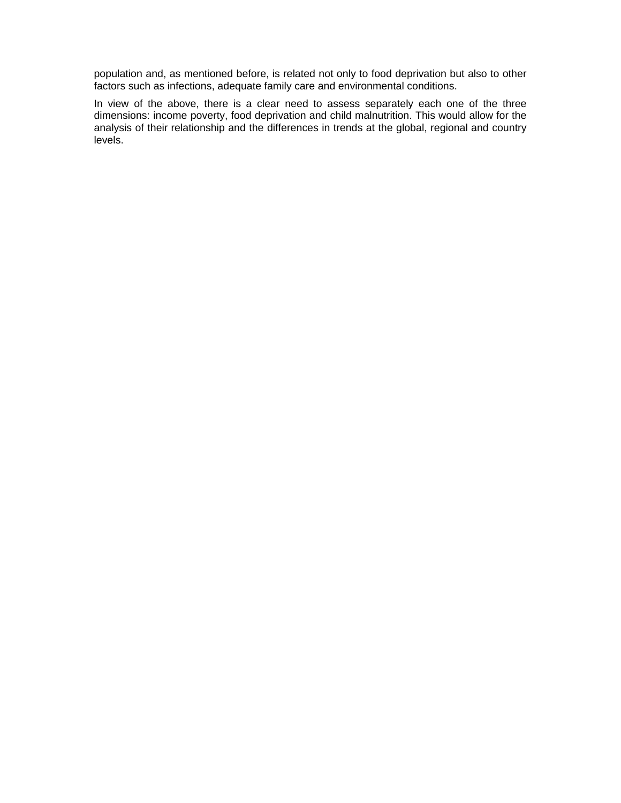population and, as mentioned before, is related not only to food deprivation but also to other factors such as infections, adequate family care and environmental conditions.

In view of the above, there is a clear need to assess separately each one of the three dimensions: income poverty, food deprivation and child malnutrition. This would allow for the analysis of their relationship and the differences in trends at the global, regional and country levels.